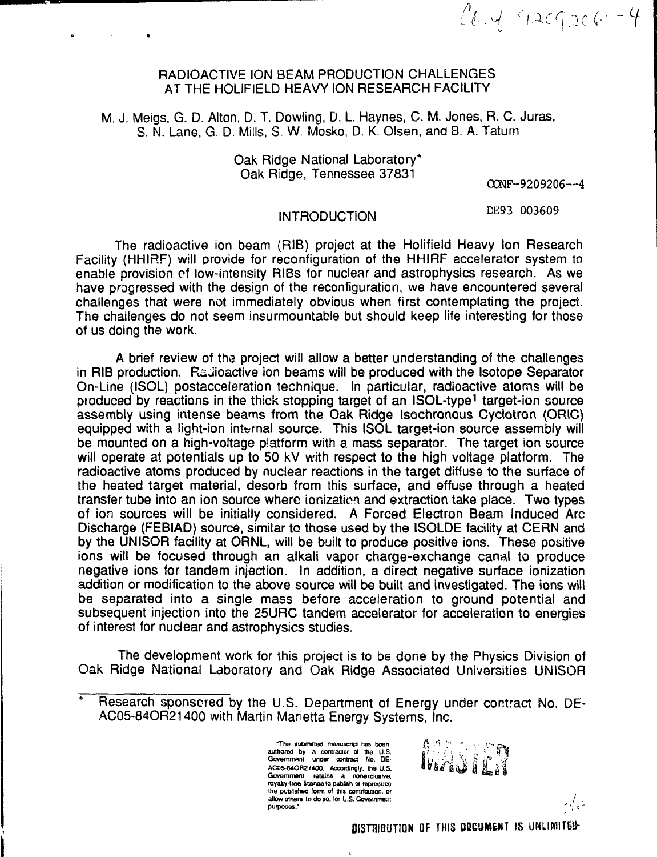$26.4.929266 - 4$ 

## RADIOACTIVE ION BEAM PRODUCTION CHALLENGES AT THE HOLIFIELD HEAVY ION RESEARCH FACILITY

M. J. Meigs, G. D. Alton, D. T. Dowling, D. L Haynes, C. M. Jones, R. C. Juras, S. N. Lane, G. D. Mills, S. W. Mosko, D. K. Olsen, and B. A. Tatum

> Oak Ridge National Laboratory\* Oak Ridge, Tennessee 37831

OCNF-9209206--4

### INTRODUCTION

DE93 003609

The radioactive ion beam (RIB) project at the Holifield Heavy Ion Research Facility (HHIRF) will provide for reconfiguration of the HHIRF accelerator system to enable provision cf low-intensity RIBs for nuclear and astrophysics research. As we have progressed with the design of the reconfiguration, we have encountered several challenges that were not immediately obvious when first contemplating the project. The challenges do not seem insurmountable but should keep life interesting for those of us doing the work.

A brief review of the project will allow a better understanding of the challenges in RIB production. Radioactive ion beams will be produced with the Isotope Separator On-Line (ISOL) postacceleration technique. In particular, radioactive atoms will be produced by reactions in the thick stopping target of an ISOL-type<sup>1</sup> target-ion source assembly using intense beams from the Oak Ridge Isochronous Cyclotron (ORIC) equipped with a light-ion internal source. This ISOL target-ion source assembly will be mounted on a high-voitage platform with a mass separator. The target ion source will operate at potentials up to 50 kV with respect to the high voltage platform. The radioactive atoms produced by nuclear reactions in the target diffuse to the surface of the heated target material, desorb from this surface, and effuse through a heated transfer tube into an ion source where ionizatien and extraction take place. Two types of ion sources will be initially considered. A Forced Electron Beam Induced Arc Discharge (FEBIAD) source, similar to those used by the ISOLDE facility at CERN and by the UNISOR facility at ORNL, will be built to produce positive ions. These positive ions will be focused through an alkali vapor charge-exchange canal to produce negative ions for tandem injection. In addition, a direct negative surface ionization addition or modification to the above source will be built and investigated. The ions will be separated into a single mass before acceleration to ground potential and subsequent injection into the 25URC tandem accelerator for acceleration to energies of interest for nuclear and astrophysics studies.

The development work for this project is to be done by the Physics Division of Oak Ridge National Laboratory and Oak Ridge Associated Universities UNISOR

**"The oubmJtted manuscript has been authored by a contractor ol the U.S. Government under contract No. DE-AC05-84ORZ1400. Accordingly, the U.S.** Government retains a nonexclusive, royalty-free Scanse to publish or reproduce **the published form ot this contribution, or allow others to do so. lor U.S. Government purposes.'**



BISTRIBUTION OF THIS DOCUMENT IS UNLIMITED

مذيركرم

Research sponsored by the U.S. Department of Energy under contract No. DE-AC05-84OR21400 with Martin Marietta Energy Systems, Inc.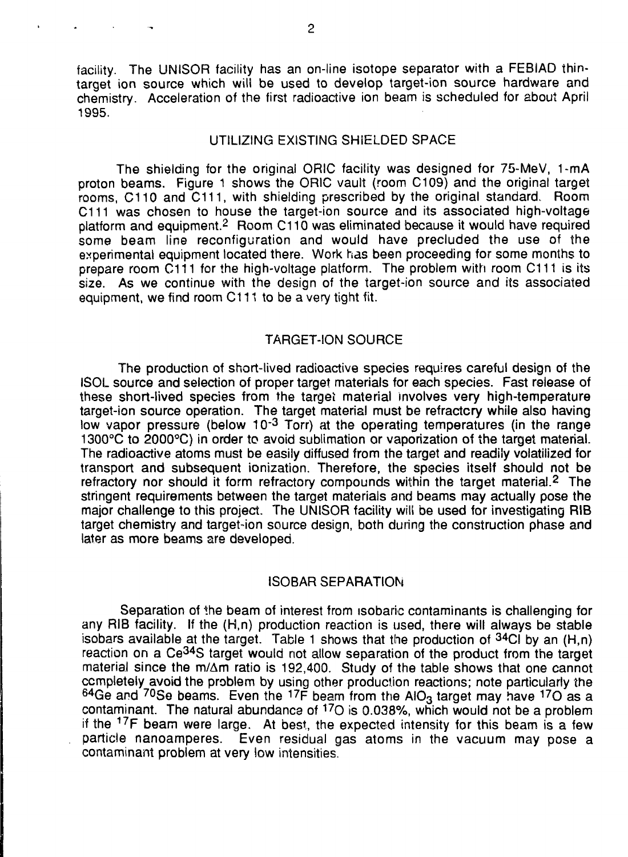facility. The UNISOR facility has an on-line isotope separator with a FEBIAD thintarget ion source which will be used to develop target-ion source hardware and chemistry. Acceleration of the first radioactive ion beam is scheduled for about April 1995.

### UTILIZING EXISTING SHIELDED SPACE

The shielding for the original ORIC facility was designed for 75-MeV, 1-mA proton beams. Figure 1 shows the ORIC vault (room C109) and the original target rooms, C110 and C111, with shielding prescribed by the original standard. Room C111 was chosen to house the target-ion source and its associated high-voltage platform and equipment.<sup>2</sup> Room C110 was eliminated because it would have required some beam line reconfiguration and would have precluded the use of the experimental equipment located there. Work has been proceeding for some months to prepare room C111 for the high-voltage platform. The problem with room C111 is its size. As we continue with the design of the target-ion source and its associated equipment, we find room C111 to be a very tight fit.

## TARGET-ION SOURCE

The production of short-lived radioactive species requires careful design of the ISOL source and selection of proper target materials for each species. Fast release of these short-lived species from the target material involves very high-temperature target-ion source operation. The target material must be refractory while also having low vapor pressure (below 10<sup>-3</sup> Torr) at the operating temperatures (in the range 1300°C to 2000°C) in order to avoid sublimation or vaporization of the target material. The radioactive atoms must be easily diffused from the target and readily volatilized for transport and subsequent ionization. Therefore, the species itself should not be refractory nor should it form refractory compounds within the target material.<sup>2</sup> The stringent requirements between the target materials and beams may actually pose the major challenge to this project. The UNISOR facility will be used for investigating RIB target chemistry and target-ion source design, both during the construction phase and later as more beams are developed.

### ISOBAR SEPARATION

Separation of the beam of interest from isobaric contaminants is challenging for any RIB facility. If the (H,n) production reaction is used, there will always be stable isobars available at the target. Table 1 shows that the production of  $34$ CI by an  $(H, n)$ reaction on a Ce<sup>34</sup>S target would not allow separation of the product from the target material since the m/Am ratio is 192,400. Study of the table shows that one cannot completely avoid the problem by using other production reactions; note particularly the  $64$ Ge and  $70$ Se beams. Even the  $17$ F beam from the AIO<sub>3</sub> target may have  $17$ O as a contaminant. The natural abundance of <sup>17</sup>O is 0.038%, which would not be a problem if the <sup>17</sup>F beam were large. At best, the expected intensity for this beam is a few particle nanoamperes. Even residual gas atoms in the vacuum may pose a contaminant problem at very low intensities.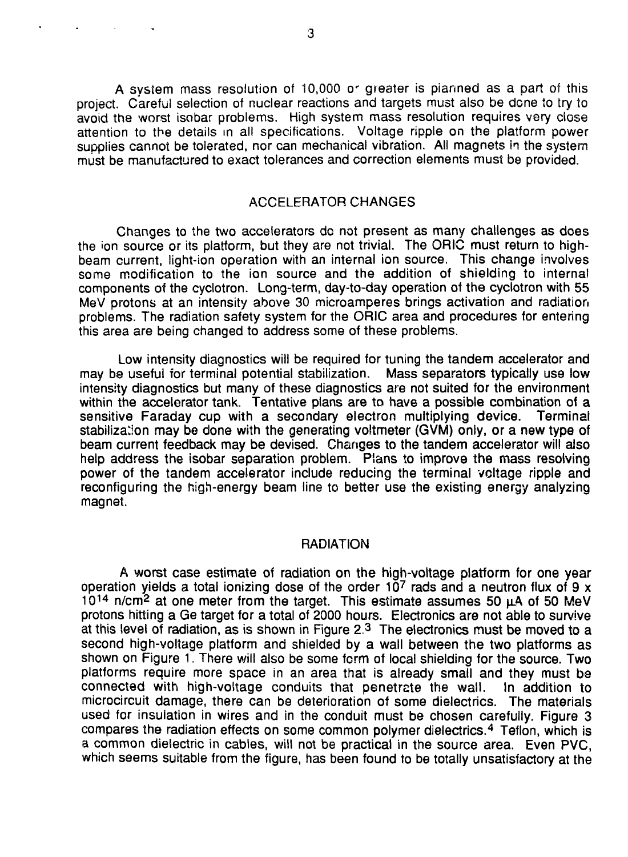A system mass resolution of 10,000 or greater is planned as a part of this project. Careful selection of nuclear reactions and targets must also be done to try to avoid the worst isobar problems. High system mass resolution requires very close attention to the details in all specifications. Voltage ripple on the platform power supplies cannot be tolerated, nor can mechanical vibration. All magnets in the system must be manufactured to exact tolerances and correction elements must be provided.

# ACCELERATOR CHANGES

Changes to the two accelerators dc not present as many challenges as does the 'on source or its platform, but they are not trivial. The ORIC must return to highbeam current, light-ion operation with an internal ion source. This change involves some modification to the ion source and the addition of shielding to internal components of the cyclotron. Long-term, day-to-day operation of the cyclotron with 55 MeV protons at an intensity above 30 microamperes brings activation and radiation problems. The radiation safety system for the ORIC area and procedures for entering this area are being changed to address some of these problems.

Low intensity diagnostics will be required for tuning the tandem accelerator and may be useful for terminal potential stabilization. Mass separators typically use low intensity diagnostics but many of these diagnostics are not suited for the environment within the accelerator tank. Tentative plans are to have a possible combination of a sensitive Faraday cup with a secondary electron multiplying device. Terminal stabilization may be done with the generating voltmeter (GVM) only, or a new type of beam current feedback may be devised. Changes to the tandem accelerator will also help address the isobar separation problem. Plans to improve the mass resolving power of the tandem accelerator include reducing the terminal voltage ripple and reconfiguring the high-energy beam line to better use the existing energy analyzing magnet.

## RADIATION

A worst case estimate of radiation on the high-voltage platform for one year operation yields a total ionizing dose of the order 10<sup>7</sup> rads and a neutron flux of 9 x  $10^{14}$  n/cm<sup>2</sup> at one meter from the target. This estimate assumes 50  $\mu$ A of 50 MeV protons hitting a Ge target for a total of 2000 hours. Electronics are not able to survive at this level of radiation, as is shown in Figure 2.<sup>3</sup> The electronics must be moved to a second high-voltage platform and shielded by a wall between the two platforms as shown on Figure 1. There will also be some form of local shielding for the source. Two platforms require more space in an area that is already small and they must be connected with high-voltage conduits that penetrcte the wall. In addition to microcircuit damage, there can be deterioration of some dielectrics. The materials used for insulation in wires and in the conduit must be chosen carefully. Figure 3 compares the radiation effects on some common polymer dielectrics.<sup>4</sup> Teflon, which is a common dielectric in cables, will not be practical in the source area. Even PVC, which seems suitable from the figure, has been found to be totally unsatisfactory at the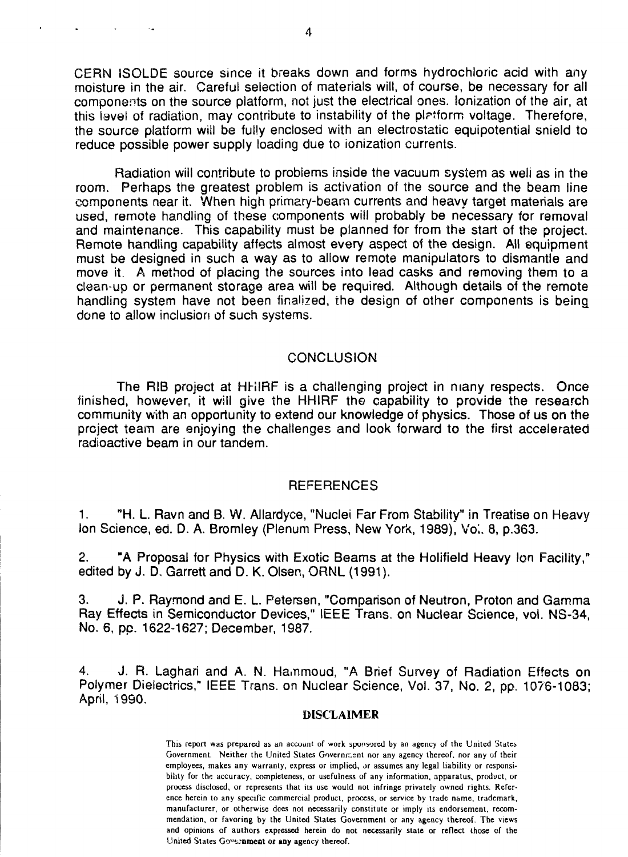CERN ISOLDE source since it breaks down and forms hydrochloric acid with any moisture in the air. Careful selection of materials will, of course, be necessary for all components on the source platform, not just the electrical ones, lonization of the air, at this level of radiation, may contribute to instability of the platform voltage. Therefore, the source platform will be fully enclosed with an electrostatic equipotential snield to reduce possible power supply loading due to ionization currents.

Radiation will contribute to problems inside the vacuum system as weli as in the room. Perhaps the greatest problem is activation of the source and the beam line components near it. When high primary-beam currents and heavy target materials are used, remote handling of these components will probably be necessary for removal and maintenance. This capability must be planned for from the start of the project. Remote handling capability affects almost every aspect of the design. All equipment must be designed in such a way as to allow remote manipulators to dismantle and move it. A method of placing the sources into lead casks and removing them to a clean-up or permanent storage area will be required. Although details of the remote handling system have not been finalized, the design of other components is being done to allow inclusion of such systems.

### **CONCLUSION**

The RIB project at HHIRF is a challenging project in many respects. Once finished, however, it will give the HHIRF the capability to provide the research community with an opportunity to extend our knowledge of physics. Those of us on the project team are enjoying the challenges and look forward to the first accelerated radioactive beam in our tandem.

### **REFERENCES**

1. "H. L. Ravn and B. W. Allardyce, "Nuclei Far From Stability" in Treatise on Heavy Ion Science, ed. D. A. Bromley (Plenum Press, New York, 1989), Vol. 8, p.363.

2. "A Proposal for Physics with Exotic Beams at the Holifield Heavy Ion Facility," edited by J. D, Garrett and D. K. Olsen, ORNL (1991).

3. J. P. Raymond and E. L. Petersen, "Comparison of Neutron, Proton and Gamma Ray Effects in Semiconductor Devices," IEEE Trans, on Nuclear Science, vol. NS-34, No. 6, pp. 1622-1627; December, 1987.

4. J. R. Laghari and A. N. Hammoud, "A Brief Survey of Radiation Effects on Polymer Dielectrics," IEEE Trans, on Nuclear Science, Vol. 37, No. 2, pp. 1076-1083; April, 1990.

#### DISCLAIMER

This report was prepared as an account of work sponsored by an agency of the United States Government. Neither the United States Government nor any agency thereof, nor any of their employees, makes any warranty, express or implied, or assumes any legal liability or responsibility for the accuracy, completeness, or usefulness of any information, apparatus, product, or process disclosed, or represents that its use would not infringe privately owned rights. Reference herein to any specific commercial product, process, or service by trade name, trademark, manufacturer, or otherwise dees not necessarily constitute or imply its endorsement, recommendation, or favoring by the United States Government or any agency thereof. The views and opinions of authors expressed herein do not necessarily state or reflect those of the United States Government or any agency thereof.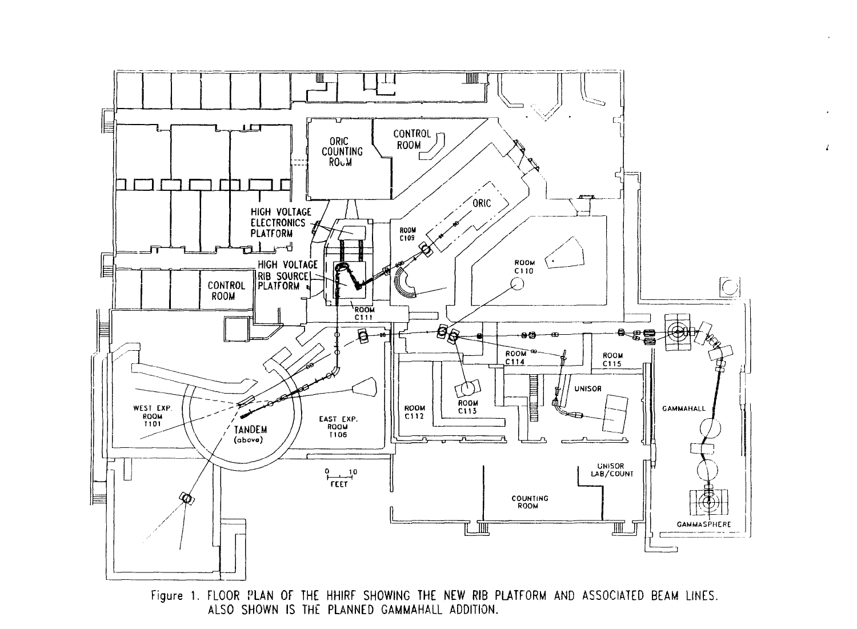

Figure 1. FLOOR PLAN OF THE HHIRF SHOWING THE NEW RIB PLATFORM AND ASSOCIATED BEAM LINES. ALSO SHOWN IS THE PLANNED GAMMAHALL ADDITION.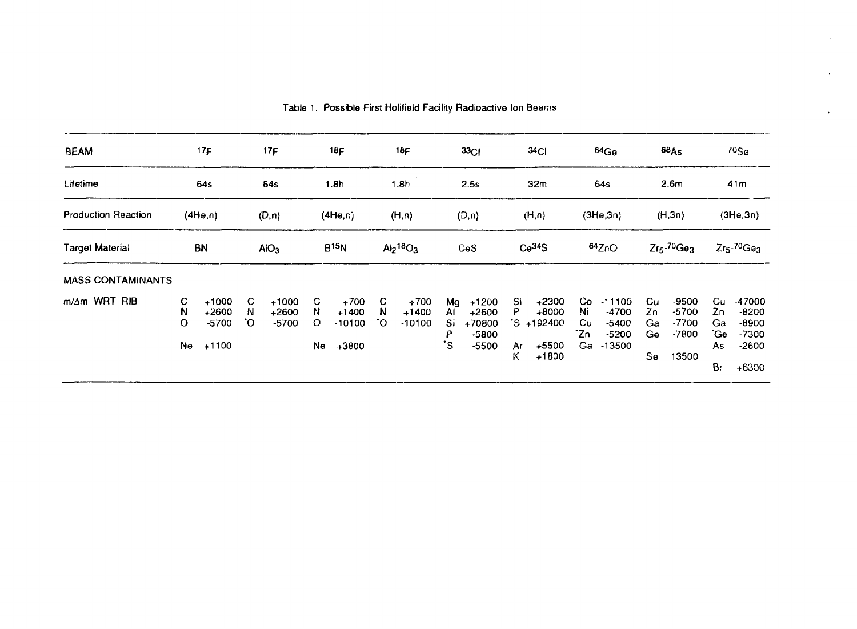| <b>BEAM</b>                         | 17F<br>64s<br>(4H <sub>e,n</sub> ) |                                          | 17F<br>64s<br>(D, n)<br>AIO <sub>3</sub> |                               | 18F<br>1.8h<br>(4He, n)<br><b>B</b> <sup>15</sup> N |                                          | 18F<br>1.8h<br>(H, n)<br>Al <sub>2</sub> 18O <sub>3</sub> |                               | 33 <sub>CI</sub><br>2.5s<br>(D, n)<br>CeS |                                                    | 34 <sub>CI</sub><br>32 <sub>m</sub><br>(H, n)<br>Ce <sup>34</sup> S |                                                      | 64Gg<br>64s<br>(3He, 3n)<br>64ZnO |                                                     | 68As<br>2.6 <sub>m</sub><br>(H,3n)<br>$Z_{15}$ .70 $G_{\theta3}$ |                                                   | 70 <sub>5a</sub><br>41m<br>(3He, 3n)<br>$Zrs$ -70 $Ga3$ |                                                             |
|-------------------------------------|------------------------------------|------------------------------------------|------------------------------------------|-------------------------------|-----------------------------------------------------|------------------------------------------|-----------------------------------------------------------|-------------------------------|-------------------------------------------|----------------------------------------------------|---------------------------------------------------------------------|------------------------------------------------------|-----------------------------------|-----------------------------------------------------|------------------------------------------------------------------|---------------------------------------------------|---------------------------------------------------------|-------------------------------------------------------------|
| Lifetime                            |                                    |                                          |                                          |                               |                                                     |                                          |                                                           |                               |                                           |                                                    |                                                                     |                                                      |                                   |                                                     |                                                                  |                                                   |                                                         |                                                             |
| <b>Production Reaction</b>          |                                    |                                          |                                          |                               |                                                     |                                          |                                                           |                               |                                           |                                                    |                                                                     |                                                      |                                   |                                                     |                                                                  |                                                   |                                                         |                                                             |
| <b>BN</b><br><b>Target Material</b> |                                    |                                          |                                          |                               |                                                     |                                          |                                                           |                               |                                           |                                                    |                                                                     |                                                      |                                   |                                                     |                                                                  |                                                   |                                                         |                                                             |
| <b>MASS CONTAMINANTS</b>            |                                    |                                          |                                          |                               |                                                     |                                          |                                                           |                               |                                           |                                                    |                                                                     |                                                      |                                   |                                                     |                                                                  |                                                   |                                                         |                                                             |
| m/Am WRT RIB                        | C<br>N<br>O<br>Ne                  | $+1000$<br>$+2600$<br>$-5700$<br>$+1100$ | C.<br>N<br>.О.                           | $+1000$<br>$+2600$<br>$-5700$ | C.<br>N<br>$\circ$<br>Ne                            | $+700$<br>$+1400$<br>$-10100$<br>$+3800$ | C.<br>N<br>°O                                             | $+700$<br>$+1400$<br>$-10100$ | Mg<br>AI<br>Si<br>Ρ<br>۰s                 | $+1200$<br>$+2600$<br>+70800<br>$-5800$<br>$-5500$ | Si<br>Р<br>Ar<br>Κ                                                  | $+2300$<br>$+8000$<br>'S +192400<br>+5500<br>$+1800$ | Co<br>Ni<br>Cu<br>∵Zn<br>Ga       | $-11100$<br>-4700<br>$-5400$<br>$-5200$<br>$-13500$ | Cu<br>Zn<br>Ga<br>Ge<br>Se                                       | $-9500$<br>$-5700$<br>$-7700$<br>$-7800$<br>13500 | Сu<br>Zn<br>Ga<br>'Ge<br>As<br>B۲                       | -47000<br>-8200<br>$-8900$<br>$-7300$<br>$-2600$<br>$+6300$ |

Table 1. Possible First Holifiold Facility Radioactive Ion Beams

 $\epsilon$ 

 $\hat{\mathbf{r}}$ 

 $\ddot{\phantom{a}}$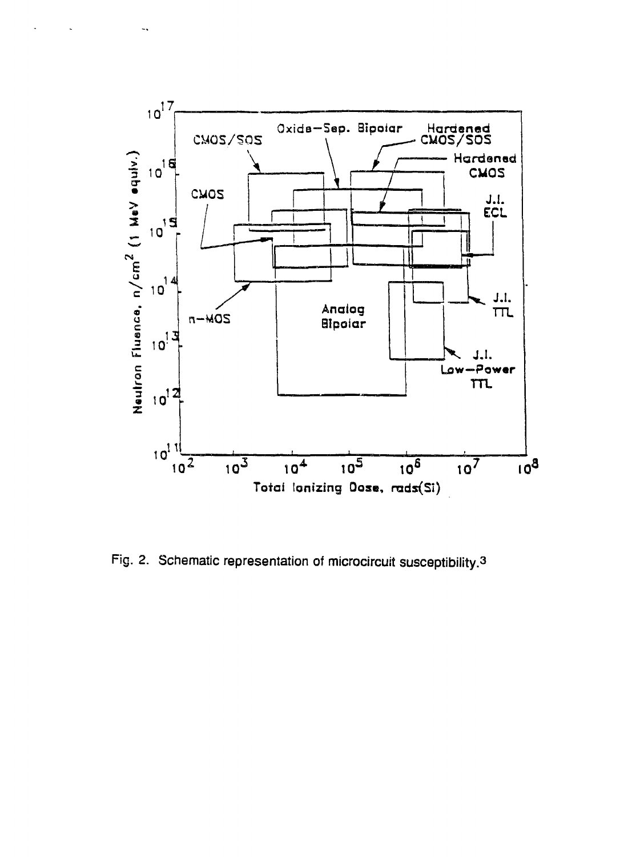

Fig. 2. Schematic representation of microcircuit susceptibility.<sup>3</sup>